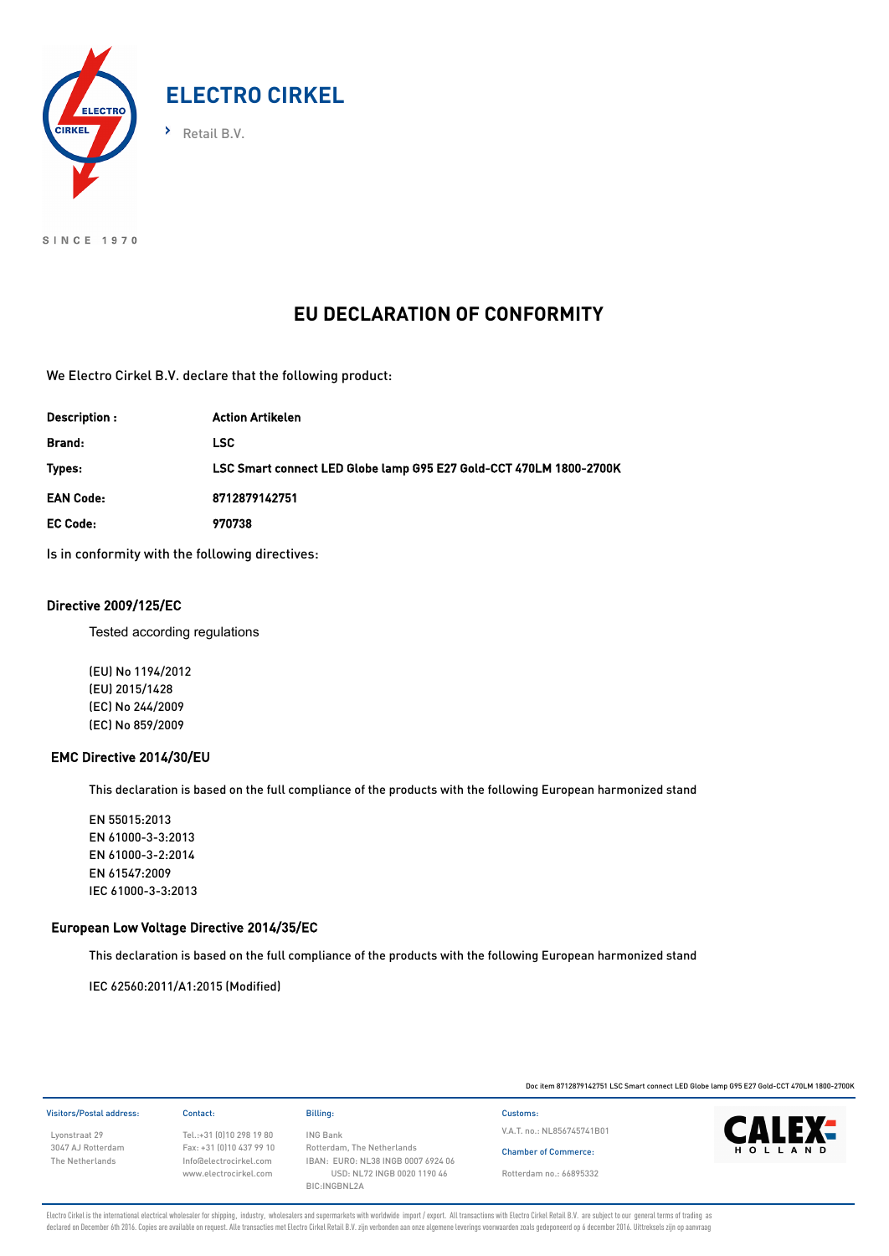

SINCE 1970

# **EU DECLARATION OF CONFORMITY**

We Electro Cirkel B.V. declare that the following product:

| Description:     | <b>Action Artikelen</b>                                            |
|------------------|--------------------------------------------------------------------|
| Brand:           | LSC.                                                               |
| Types:           | LSC Smart connect LED Globe lamp G95 E27 Gold-CCT 470LM 1800-2700K |
| <b>EAN Code:</b> | 8712879142751                                                      |
| <b>EC Code:</b>  | 970738                                                             |
|                  |                                                                    |

Is in conformity with the following directives:

## Directive 2009/125/EC

Tested according regulations

(EU) No 1194/2012 (EU) 2015/1428 (EC) No 244/2009 (EC) No 859/2009

### EMC Directive 2014/30/EU

This declaration is based on the full compliance of the products with the following European harmonized stand

EN 55015:2013 EN 61000-3-3:2013 EN 61000-3-2:2014 EN 61547:2009 IEC 61000-3-3:2013

### European Low Voltage Directive 2014/35/EC

This declaration is based on the full compliance of the products with the following European harmonized stand

IEC 62560:2011/A1:2015 (Modified)

Doc item 8712879142751 LSC Smart connect LED Globe lamp G95 E27 Gold-CCT 470LM 1800-2700K

| Visitors/Postal address: | Contact:                  | Billing:                           | Customs:    |
|--------------------------|---------------------------|------------------------------------|-------------|
| Lyonstraat 29            | Tel.:+31 (0)10 298 19 80  | <b>ING Bank</b>                    | V.A.T. no.: |
| 3047 AJ Rotterdam        | Fax: +31 (0) 10 437 99 10 | Rotterdam, The Netherlands         | Chamber     |
| The Netherlands          | Info@electrocirkel.com    | IBAN: EURO: NL38 INGB 0007 6924 06 |             |
|                          | www.electrocirkel.com     | USD: NL72 INGB 0020 1190 46        | Rotterdam   |
|                          |                           | <b>DIO ILIODLII OA</b>             |             |

The Netherlands 0: NL38 INGB 0007 6924 06 USD: NL72 INGB 0020 1190 46 BIC:INGBNL2A

V.A.T. no.: NL856745741B01

Chamber of Commerce: Rotterdam no.: 66895332



Electro Cirkel is the international electrical wholesaler for shipping, industry, wholesalers and supermarkets with worldwide import / export. All transactions with Electro Cirkel Retail B.V. are subject to our general ter declared on December 6th 2016. Copies are available on request. Alle transacties met Electro Cirkel Retail B.V. zijn verbonden aan onze algemene leverings voorwaarden zoals gedeponeerd op 6 december 2016. Uittreksels zijn